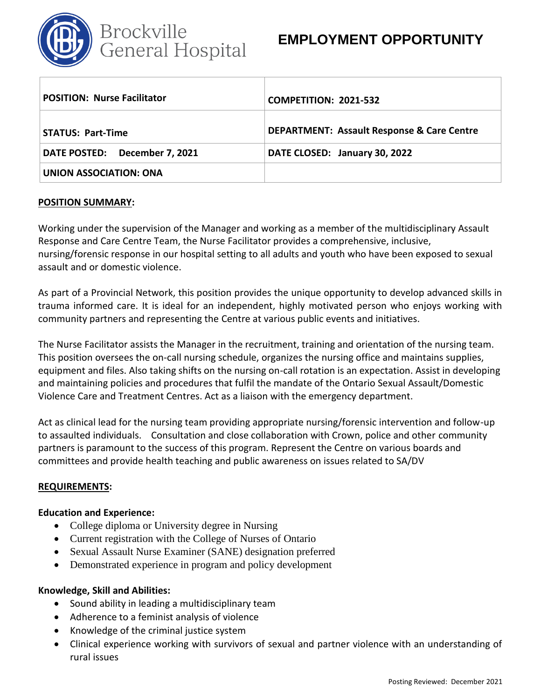

## **EMPLOYMENT OPPORTUNITY**

| <b>POSITION: Nurse Facilitator</b> | <b>COMPETITION: 2021-532</b>                          |
|------------------------------------|-------------------------------------------------------|
| <b>STATUS: Part-Time</b>           | <b>DEPARTMENT: Assault Response &amp; Care Centre</b> |
| DATE POSTED: December 7, 2021      | DATE CLOSED: January 30, 2022                         |
| UNION ASSOCIATION: ONA             |                                                       |

#### **POSITION SUMMARY:**

Working under the supervision of the Manager and working as a member of the multidisciplinary Assault Response and Care Centre Team, the Nurse Facilitator provides a comprehensive, inclusive, nursing/forensic response in our hospital setting to all adults and youth who have been exposed to sexual assault and or domestic violence.

As part of a Provincial Network, this position provides the unique opportunity to develop advanced skills in trauma informed care. It is ideal for an independent, highly motivated person who enjoys working with community partners and representing the Centre at various public events and initiatives.

The Nurse Facilitator assists the Manager in the recruitment, training and orientation of the nursing team. This position oversees the on-call nursing schedule, organizes the nursing office and maintains supplies, equipment and files. Also taking shifts on the nursing on-call rotation is an expectation. Assist in developing and maintaining policies and procedures that fulfil the mandate of the Ontario Sexual Assault/Domestic Violence Care and Treatment Centres. Act as a liaison with the emergency department.

Act as clinical lead for the nursing team providing appropriate nursing/forensic intervention and follow-up to assaulted individuals. Consultation and close collaboration with Crown, police and other community partners is paramount to the success of this program. Represent the Centre on various boards and committees and provide health teaching and public awareness on issues related to SA/DV

### **REQUIREMENTS:**

### **Education and Experience:**

- College diploma or University degree in Nursing
- Current registration with the College of Nurses of Ontario
- Sexual Assault Nurse Examiner (SANE) designation preferred
- Demonstrated experience in program and policy development

### **Knowledge, Skill and Abilities:**

- Sound ability in leading a multidisciplinary team
- Adherence to a feminist analysis of violence
- Knowledge of the criminal justice system
- Clinical experience working with survivors of sexual and partner violence with an understanding of rural issues